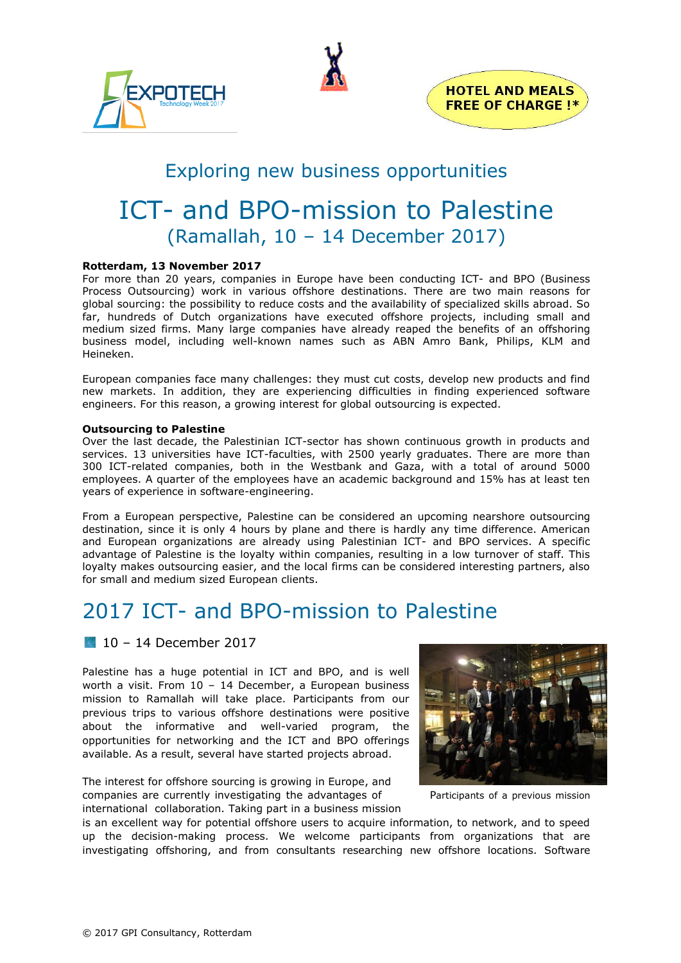





# Exploring new business opportunities

# ICT- and BPO-mission to Palestine (Ramallah, 10 – 14 December 2017)

### **Rotterdam, 13 November 2017**

For more than 20 years, companies in Europe have been conducting ICT- and BPO (Business Process Outsourcing) work in various offshore destinations. There are two main reasons for global sourcing: the possibility to reduce costs and the availability of specialized skills abroad. So far, hundreds of Dutch organizations have executed offshore projects, including small and medium sized firms. Many large companies have already reaped the benefits of an offshoring business model, including well-known names such as ABN Amro Bank, Philips, KLM and Heineken.

European companies face many challenges: they must cut costs, develop new products and find new markets. In addition, they are experiencing difficulties in finding experienced software engineers. For this reason, a growing interest for global outsourcing is expected.

#### **Outsourcing to Palestine**

Over the last decade, the Palestinian ICT-sector has shown continuous growth in products and services. 13 universities have ICT-faculties, with 2500 yearly graduates. There are more than 300 ICT-related companies, both in the Westbank and Gaza, with a total of around 5000 employees. A quarter of the employees have an academic background and 15% has at least ten years of experience in software-engineering.

From a European perspective, Palestine can be considered an upcoming nearshore outsourcing destination, since it is only 4 hours by plane and there is hardly any time difference. American and European organizations are already using Palestinian ICT- and BPO services. A specific advantage of Palestine is the loyalty within companies, resulting in a low turnover of staff. This loyalty makes outsourcing easier, and the local firms can be considered interesting partners, also for small and medium sized European clients.

# 2017 ICT- and BPO-mission to Palestine

### 10 – 14 December 2017

Palestine has a huge potential in ICT and BPO, and is well worth a visit. From 10 – 14 December, a European business mission to Ramallah will take place. Participants from our previous trips to various offshore destinations were positive about the informative and well-varied program, the opportunities for networking and the ICT and BPO offerings available. As a result, several have started projects abroad.

The interest for offshore sourcing is growing in Europe, and companies are currently investigating the advantages of Participants of a previous mission international collaboration. Taking part in a business mission



is an excellent way for potential offshore users to acquire information, to network, and to speed up the decision-making process. We welcome participants from organizations that are investigating offshoring, and from consultants researching new offshore locations. Software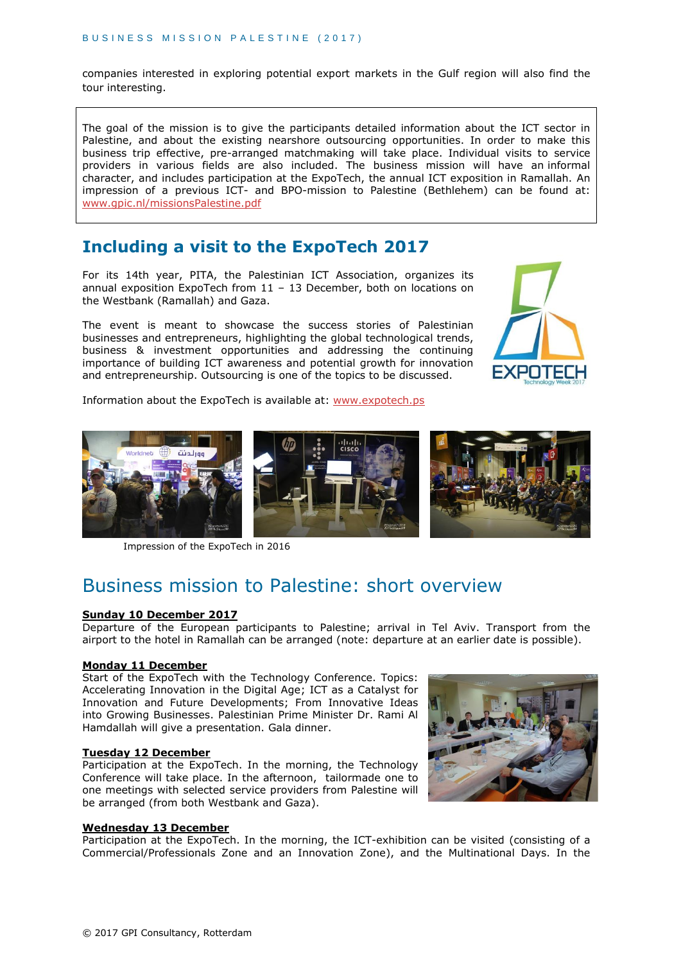ı

companies interested in exploring potential export markets in the Gulf region will also find the tour interesting.

The goal of the mission is to give the participants detailed information about the ICT sector in Palestine, and about the existing nearshore outsourcing opportunities. In order to make this business trip effective, pre-arranged matchmaking will take place. Individual visits to service providers in various fields are also included. The business mission will have an informal character, and includes participation at the ExpoTech, the annual ICT exposition in Ramallah. An impression of a previous ICT- and BPO-mission to Palestine (Bethlehem) can be found at: [www.gpic.nl/missionsPalestine.pdf](http://www.gpic.nl/missionsPalestine.pdf)

### **Including a visit to the ExpoTech 2017**

For its 14th year, PITA, the Palestinian ICT Association, organizes its annual exposition ExpoTech from 11 – 13 December, both on locations on the Westbank (Ramallah) and Gaza.

The event is meant to showcase the success stories of Palestinian businesses and entrepreneurs, highlighting the global technological trends, business & investment opportunities and addressing the continuing importance of building ICT awareness and potential growth for innovation and entrepreneurship. Outsourcing is one of the topics to be discussed.



Information about the ExpoTech is available at: [www.expotech.ps](http://www.expotech.ps/)



Impression of the ExpoTech in 2016

# Business mission to Palestine: short overview

#### **Sunday 10 December 2017**

Departure of the European participants to Palestine; arrival in Tel Aviv. Transport from the airport to the hotel in Ramallah can be arranged (note: departure at an earlier date is possible).

### **Monday 11 December**

Start of the ExpoTech with the Technology Conference. Topics: Accelerating Innovation in the Digital Age; ICT as a Catalyst for Innovation and Future Developments; From Innovative Ideas into Growing Businesses. Palestinian Prime Minister Dr. Rami Al Hamdallah will give a presentation. Gala dinner.

#### **Tuesday 12 December**

Participation at the ExpoTech. In the morning, the Technology Conference will take place. In the afternoon, tailormade one to one meetings with selected service providers from Palestine will be arranged (from both Westbank and Gaza).

### **Wednesday 13 December**

Participation at the ExpoTech. In the morning, the ICT-exhibition can be visited (consisting of a Commercial/Professionals Zone and an Innovation Zone), and the Multinational Days. In the

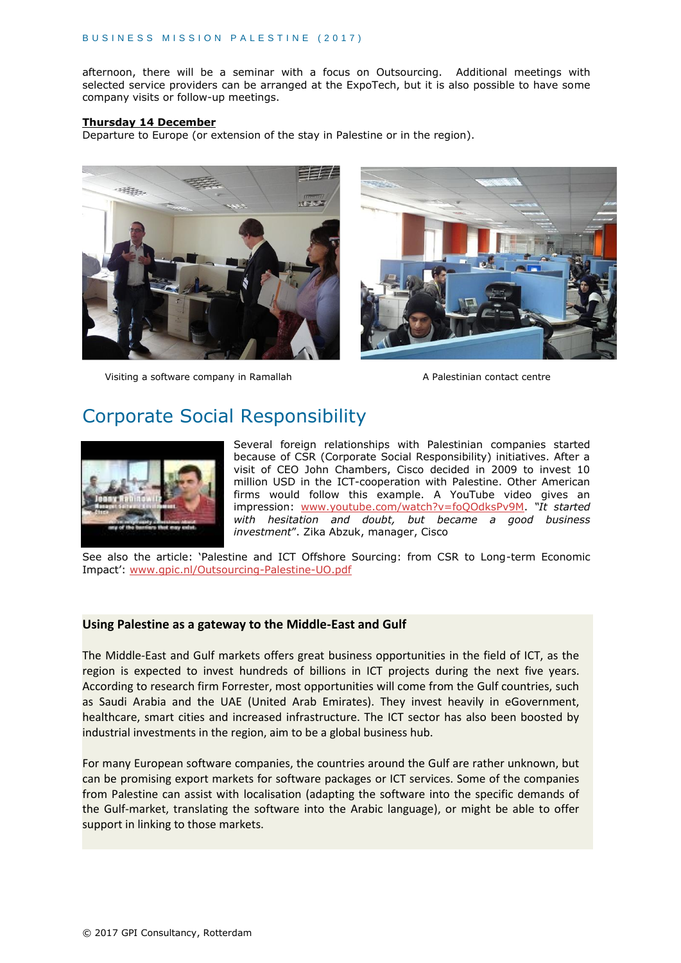afternoon, there will be a seminar with a focus on Outsourcing. Additional meetings with selected service providers can be arranged at the ExpoTech, but it is also possible to have some company visits or follow-up meetings.

#### **Thursday 14 December**

Departure to Europe (or extension of the stay in Palestine or in the region).



Visiting a software company in Ramallah A Palestinian contact centre



# Corporate Social Responsibility



Several foreign relationships with Palestinian companies started because of CSR (Corporate Social Responsibility) initiatives. After a visit of CEO John Chambers, Cisco decided in 2009 to invest 10 million USD in the ICT-cooperation with Palestine. Other American firms would follow this example. A YouTube video gives an impression: [www.youtube.com/watch?v=foQOdksPv9M.](http://www.youtube.com/watch?v=foQOdksPv9M) *"It started with hesitation and doubt, but became a good business investment*". Zika Abzuk, manager, Cisco

See also the article: 'Palestine and ICT Offshore Sourcing: from CSR to Long-term Economic Impact': [www.gpic.nl/Outsourcing-Palestine-UO.pdf](http://www.gpic.nl/Outsourcing-Palestine-UO.pdf)

### **Using Palestine as a gateway to the Middle-East and Gulf**

The Middle-East and Gulf markets offers great business opportunities in the field of ICT, as the region is expected to invest hundreds of billions in ICT projects during the next five years. According to research firm Forrester, most opportunities will come from the Gulf countries, such as Saudi Arabia and the UAE (United Arab Emirates). They invest heavily in eGovernment, healthcare, smart cities and increased infrastructure. The ICT sector has also been boosted by industrial investments in the region, aim to be a global business hub.

For many European software companies, the countries around the Gulf are rather unknown, but can be promising export markets for software packages or ICT services. Some of the companies from Palestine can assist with localisation (adapting the software into the specific demands of the Gulf-market, translating the software into the Arabic language), or might be able to offer support in linking to those markets.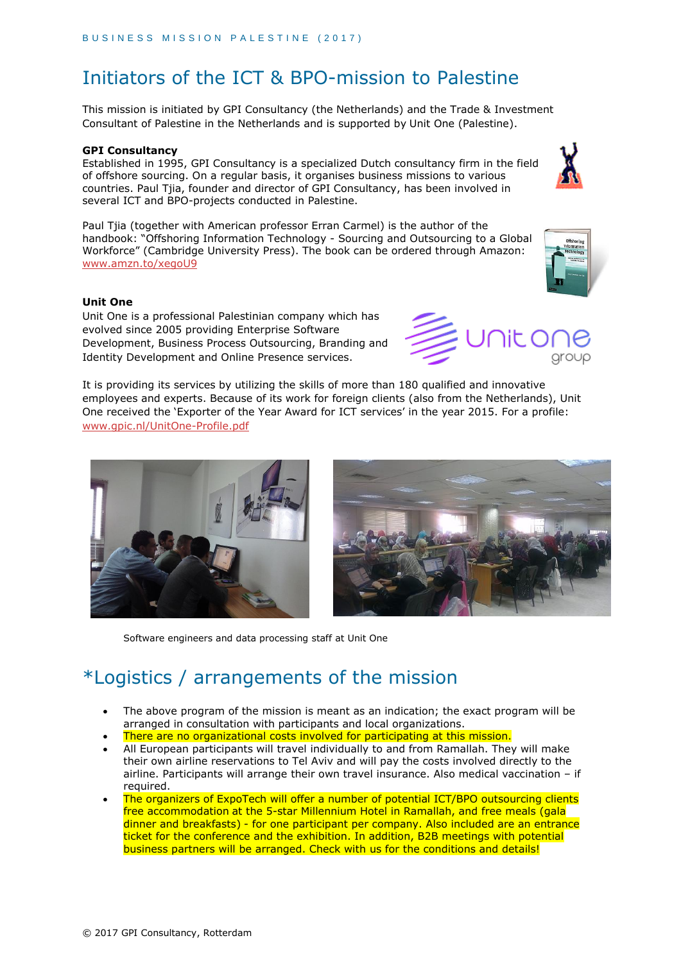# Initiators of the ICT & BPO-mission to Palestine

This mission is initiated by GPI Consultancy (the Netherlands) and the Trade & Investment Consultant of Palestine in the Netherlands and is supported by Unit One (Palestine).

#### **GPI Consultancy**

Established in 1995, GPI Consultancy is a specialized Dutch consultancy firm in the field of offshore sourcing. On a regular basis, it organises business missions to various countries. Paul Tjia, founder and director of GPI Consultancy, has been involved in several ICT and BPO-projects conducted in Palestine.

Paul Tjia (together with American professor Erran Carmel) is the author of the handbook: "Offshoring Information Technology - Sourcing and Outsourcing to a Global Workforce" (Cambridge University Press). The book can be ordered through Amazon: [www.amzn.to/xegoU9](http://www.amzn.to/xegoU9)

#### **Unit One**

Unit One is a professional Palestinian company which has evolved since 2005 providing Enterprise Software Development, Business Process Outsourcing, Branding and Identity Development and Online Presence services.

It is providing its services by utilizing the skills of more than 180 qualified and innovative employees and experts. Because of its work for foreign clients (also from the Netherlands), Unit One received the 'Exporter of the Year Award for ICT services' in the year 2015. For a profile: [www.gpic.nl/UnitOne-Profile.pdf](http://www.gpic.nl/UnitOne-Profile.pdf)



# \*Logistics / arrangements of the mission

- The above program of the mission is meant as an indication; the exact program will be arranged in consultation with participants and local organizations.
- There are no organizational costs involved for participating at this mission.
- All European participants will travel individually to and from Ramallah. They will make their own airline reservations to Tel Aviv and will pay the costs involved directly to the airline. Participants will arrange their own travel insurance. Also medical vaccination – if required.
- The organizers of ExpoTech will offer a number of potential ICT/BPO outsourcing clients free accommodation at the 5-star Millennium Hotel in Ramallah, and free meals (gala dinner and breakfasts) - for one participant per company. Also included are an entrance ticket for the conference and the exhibition. In addition, B2B meetings with potential business partners will be arranged. Check with us for the conditions and details!